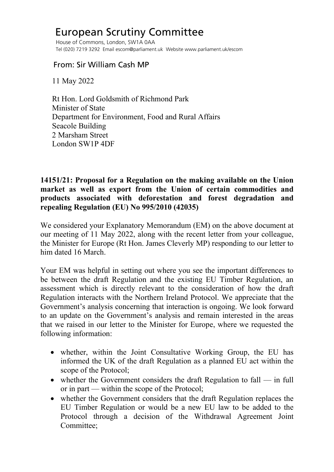## European Scrutiny Committee

 House of Commons, London, SW1A 0AA Tel (020) 7219 3292 Email escom@parliament.uk Website www.parliament.uk/escom

## From: Sir William Cash MP

11 May 2022

 Rt Hon. Lord Goldsmith of Richmond Park Minister of State Department for Environment, Food and Rural Affairs Seacole Building 2 Marsham Street London SW1P 4DF

## **14151/21: Proposal for a Regulation on the making available on the Union market as well as export from the Union of certain commodities and products associated with deforestation and forest degradation and repealing Regulation (EU) No 995/2010 (42035)**

We considered your Explanatory Memorandum (EM) on the above document at our meeting of 11 May 2022, along with the recent letter from your colleague, the Minister for Europe (Rt Hon. James Cleverly MP) responding to our letter to him dated 16 March.

Your EM was helpful in setting out where you see the important differences to be between the draft Regulation and the existing EU Timber Regulation, an assessment which is directly relevant to the consideration of how the draft Regulation interacts with the Northern Ireland Protocol. We appreciate that the Government's analysis concerning that interaction is ongoing. We look forward to an update on the Government's analysis and remain interested in the areas that we raised in our letter to the Minister for Europe, where we requested the following information:

- whether, within the Joint Consultative Working Group, the EU has informed the UK of the draft Regulation as a planned EU act within the scope of the Protocol;
- whether the Government considers the draft Regulation to fall in full or in part — within the scope of the Protocol;
- whether the Government considers that the draft Regulation replaces the EU Timber Regulation or would be a new EU law to be added to the Protocol through a decision of the Withdrawal Agreement Joint Committee;